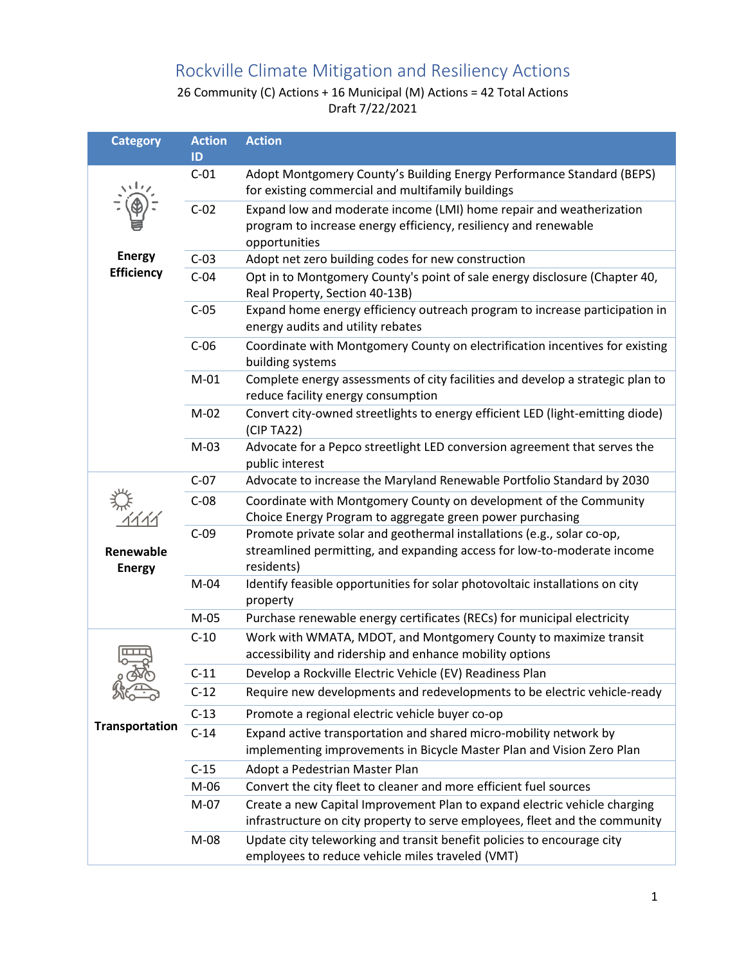## Rockville Climate Mitigation and Resiliency Actions

26 Community (C) Actions + 16 Municipal (M) Actions = 42 Total Actions Draft 7/22/2021

| <b>Category</b>                    | <b>Action</b><br>ID | <b>Action</b>                                                                                                                                                   |
|------------------------------------|---------------------|-----------------------------------------------------------------------------------------------------------------------------------------------------------------|
|                                    | $C-01$              | Adopt Montgomery County's Building Energy Performance Standard (BEPS)<br>for existing commercial and multifamily buildings                                      |
|                                    | $C-02$              | Expand low and moderate income (LMI) home repair and weatherization<br>program to increase energy efficiency, resiliency and renewable<br>opportunities         |
| <b>Energy</b><br><b>Efficiency</b> | $C-03$              | Adopt net zero building codes for new construction                                                                                                              |
|                                    | $C-04$              | Opt in to Montgomery County's point of sale energy disclosure (Chapter 40,<br>Real Property, Section 40-13B)                                                    |
|                                    | $C-05$              | Expand home energy efficiency outreach program to increase participation in<br>energy audits and utility rebates                                                |
|                                    | $C-06$              | Coordinate with Montgomery County on electrification incentives for existing<br>building systems                                                                |
|                                    | $M-01$              | Complete energy assessments of city facilities and develop a strategic plan to<br>reduce facility energy consumption                                            |
|                                    | $M-02$              | Convert city-owned streetlights to energy efficient LED (light-emitting diode)<br>(CIP TA22)                                                                    |
|                                    | $M-03$              | Advocate for a Pepco streetlight LED conversion agreement that serves the<br>public interest                                                                    |
|                                    | $C-07$              | Advocate to increase the Maryland Renewable Portfolio Standard by 2030                                                                                          |
| Renewable<br><b>Energy</b>         | $C-08$              | Coordinate with Montgomery County on development of the Community<br>Choice Energy Program to aggregate green power purchasing                                  |
|                                    | $C-09$              | Promote private solar and geothermal installations (e.g., solar co-op,<br>streamlined permitting, and expanding access for low-to-moderate income<br>residents) |
|                                    | $M-04$              | Identify feasible opportunities for solar photovoltaic installations on city<br>property                                                                        |
|                                    | $M-05$              | Purchase renewable energy certificates (RECs) for municipal electricity                                                                                         |
| <b>Transportation</b>              | $C-10$              | Work with WMATA, MDOT, and Montgomery County to maximize transit<br>accessibility and ridership and enhance mobility options                                    |
|                                    | $C-11$              | Develop a Rockville Electric Vehicle (EV) Readiness Plan                                                                                                        |
|                                    | $C-12$              | Require new developments and redevelopments to be electric vehicle-ready                                                                                        |
|                                    | $C-13$              | Promote a regional electric vehicle buyer co-op                                                                                                                 |
|                                    | $C-14$              | Expand active transportation and shared micro-mobility network by<br>implementing improvements in Bicycle Master Plan and Vision Zero Plan                      |
|                                    | $C-15$              | Adopt a Pedestrian Master Plan                                                                                                                                  |
|                                    | M-06                | Convert the city fleet to cleaner and more efficient fuel sources                                                                                               |
|                                    | $M-07$              | Create a new Capital Improvement Plan to expand electric vehicle charging                                                                                       |
|                                    |                     | infrastructure on city property to serve employees, fleet and the community                                                                                     |
|                                    | M-08                | Update city teleworking and transit benefit policies to encourage city<br>employees to reduce vehicle miles traveled (VMT)                                      |